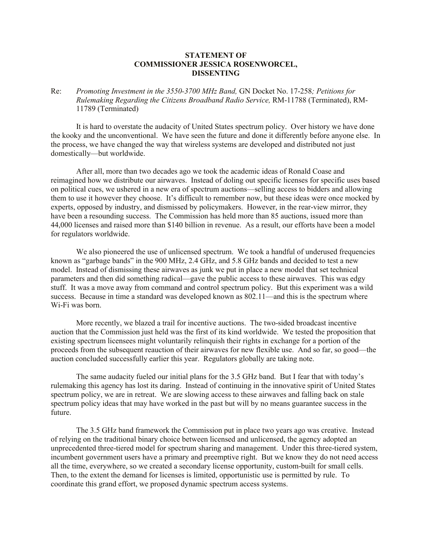## **STATEMENT OF COMMISSIONER JESSICA ROSENWORCEL, DISSENTING**

Re: *Promoting Investment in the 3550-3700 MHz Band,* GN Docket No. 17-258*; Petitions for Rulemaking Regarding the Citizens Broadband Radio Service,* RM-11788 (Terminated), RM-11789 (Terminated)

It is hard to overstate the audacity of United States spectrum policy. Over history we have done the kooky and the unconventional. We have seen the future and done it differently before anyone else. In the process, we have changed the way that wireless systems are developed and distributed not just domestically—but worldwide.

After all, more than two decades ago we took the academic ideas of Ronald Coase and reimagined how we distribute our airwaves. Instead of doling out specific licenses for specific uses based on political cues, we ushered in a new era of spectrum auctions—selling access to bidders and allowing them to use it however they choose. It's difficult to remember now, but these ideas were once mocked by experts, opposed by industry, and dismissed by policymakers. However, in the rear-view mirror, they have been a resounding success. The Commission has held more than 85 auctions, issued more than 44,000 licenses and raised more than \$140 billion in revenue. As a result, our efforts have been a model for regulators worldwide.

We also pioneered the use of unlicensed spectrum. We took a handful of underused frequencies known as "garbage bands" in the 900 MHz, 2.4 GHz, and 5.8 GHz bands and decided to test a new model. Instead of dismissing these airwaves as junk we put in place a new model that set technical parameters and then did something radical—gave the public access to these airwaves. This was edgy stuff. It was a move away from command and control spectrum policy. But this experiment was a wild success. Because in time a standard was developed known as 802.11—and this is the spectrum where Wi-Fi was born.

More recently, we blazed a trail for incentive auctions. The two-sided broadcast incentive auction that the Commission just held was the first of its kind worldwide. We tested the proposition that existing spectrum licensees might voluntarily relinquish their rights in exchange for a portion of the proceeds from the subsequent reauction of their airwaves for new flexible use. And so far, so good—the auction concluded successfully earlier this year. Regulators globally are taking note.

The same audacity fueled our initial plans for the 3.5 GHz band. But I fear that with today's rulemaking this agency has lost its daring. Instead of continuing in the innovative spirit of United States spectrum policy, we are in retreat. We are slowing access to these airwaves and falling back on stale spectrum policy ideas that may have worked in the past but will by no means guarantee success in the future.

The 3.5 GHz band framework the Commission put in place two years ago was creative. Instead of relying on the traditional binary choice between licensed and unlicensed, the agency adopted an unprecedented three-tiered model for spectrum sharing and management. Under this three-tiered system, incumbent government users have a primary and preemptive right. But we know they do not need access all the time, everywhere, so we created a secondary license opportunity, custom-built for small cells. Then, to the extent the demand for licenses is limited, opportunistic use is permitted by rule. To coordinate this grand effort, we proposed dynamic spectrum access systems.